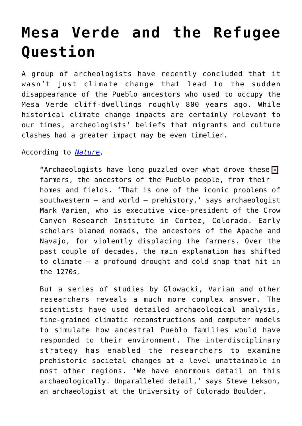## **[Mesa Verde and the Refugee](https://intellectualtakeout.org/2015/11/mesa-verde-and-the-refugee-question/) [Question](https://intellectualtakeout.org/2015/11/mesa-verde-and-the-refugee-question/)**

A group of archeologists have recently concluded that it wasn't just climate change that lead to the sudden disappearance of the Pueblo ancestors who used to occupy the Mesa Verde cliff-dwellings roughly 800 years ago. While historical climate change impacts are certainly relevant to our times, archeologists' beliefs that migrants and culture clashes had a greater impact may be even timelier.

According to *[Nature,](http://www.nature.com/news/the-greatest-vanishing-act-in-prehistoric-america-1.18700)*

"Archaeologists have long puzzled over what drove these  $\overline{\mathbf{x}}$ farmers, the ancestors of the Pueblo people, from their homes and fields. 'That is one of the iconic problems of southwestern — and world — prehistory,' says archaeologist Mark Varien, who is executive vice-president of the Crow Canyon Research Institute in Cortez, Colorado. Early scholars blamed nomads, the ancestors of the Apache and Navajo, for violently displacing the farmers. Over the past couple of decades, the main explanation has shifted to climate — a profound drought and cold snap that hit in the 1270s.

But a series of studies by Glowacki, Varian and other researchers reveals a much more complex answer. The scientists have used detailed archaeological analysis, fine-grained climatic reconstructions and computer models to simulate how ancestral Pueblo families would have responded to their environment. The interdisciplinary strategy has enabled the researchers to examine prehistoric societal changes at a level unattainable in most other regions. 'We have enormous detail on this archaeologically. Unparalleled detail,' says Steve Lekson, an archaeologist at the University of Colorado Boulder.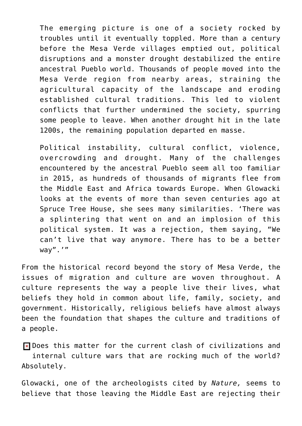The emerging picture is one of a society rocked by troubles until it eventually toppled. More than a century before the Mesa Verde villages emptied out, political disruptions and a monster drought destabilized the entire ancestral Pueblo world. Thousands of people moved into the Mesa Verde region from nearby areas, straining the agricultural capacity of the landscape and eroding established cultural traditions. This led to violent conflicts that further undermined the society, spurring some people to leave. When another drought hit in the late 1200s, the remaining population departed en masse.

Political instability, cultural conflict, violence, overcrowding and drought. Many of the challenges encountered by the ancestral Pueblo seem all too familiar in 2015, as hundreds of thousands of migrants flee from the Middle East and Africa towards Europe. When Glowacki looks at the events of more than seven centuries ago at Spruce Tree House, she sees many similarities. 'There was a splintering that went on and an implosion of this political system. It was a rejection, them saying, "We can't live that way anymore. There has to be a better way".'"

From the historical record beyond the story of Mesa Verde, the issues of migration and culture are woven throughout. A culture represents the way a people live their lives, what beliefs they hold in common about life, family, society, and government. Historically, religious beliefs have almost always been the foundation that shapes the culture and traditions of a people.

**Ex Does this matter for the current clash of civilizations and** internal culture wars that are rocking much of the world? Absolutely.

Glowacki, one of the archeologists cited by *Nature,* seems to believe that those leaving the Middle East are rejecting their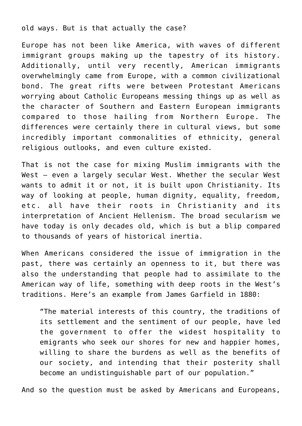old ways. But is that actually the case?

Europe has not been like America, with waves of different immigrant groups making up the tapestry of its history. Additionally, until very recently, American immigrants overwhelmingly came from Europe, with a common civilizational bond. The great rifts were between Protestant Americans worrying about Catholic Europeans messing things up as well as the character of Southern and Eastern European immigrants compared to those hailing from Northern Europe. The differences were certainly there in cultural views, but some incredibly important commonalities of ethnicity, general religious outlooks, and even culture existed.

That is not the case for mixing Muslim immigrants with the West – even a largely secular West. Whether the secular West wants to admit it or not, it is built upon Christianity. Its way of looking at people, human dignity, equality, freedom, etc. all have their roots in Christianity and its interpretation of Ancient Hellenism. The broad secularism we have today is only decades old, which is but a blip compared to thousands of years of historical inertia.

When Americans considered the issue of immigration in the past, there was certainly an openness to it, but there was also the understanding that people had to assimilate to the American way of life, something with deep roots in the West's traditions. Here's an example from James Garfield in 1880:

"The material interests of this country, the traditions of its settlement and the sentiment of our people, have led the government to offer the widest hospitality to emigrants who seek our shores for new and happier homes, willing to share the burdens as well as the benefits of our society, and intending that their posterity shall become an undistinguishable part of our population."

And so the question must be asked by Americans and Europeans,